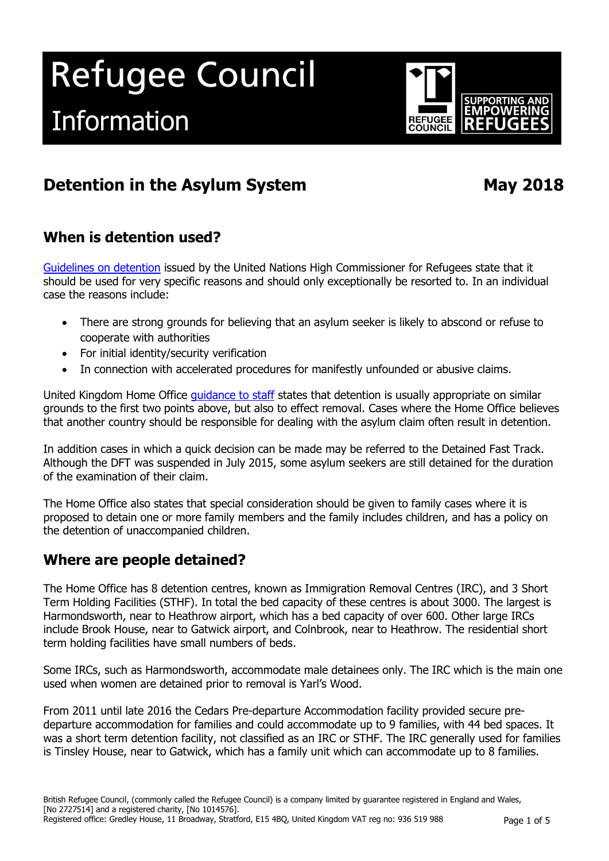# Refugee Council Information



# **Detention in the Asylum System May 2018**

# **When is detention used?**

[Guidelines on detention](http://www.unhcr.org.uk/news-and-views/news-list/news-detail/article/unhcr-concerned-at-detention-of-asylum-seekers-and-releases-new-guidelines.html) issued by the United Nations High Commissioner for Refugees state that it should be used for very specific reasons and should only exceptionally be resorted to. In an individual case the reasons include:

- There are strong grounds for believing that an asylum seeker is likely to abscond or refuse to cooperate with authorities
- For initial identity/security verification
- In connection with accelerated procedures for manifestly unfounded or abusive claims.

United Kingdom Home Office quidance to staff states that detention is usually appropriate on similar grounds to the first two points above, but also to effect removal. Cases where the Home Office believes that another country should be responsible for dealing with the asylum claim often result in detention.

In addition cases in which a quick decision can be made may be referred to the Detained Fast Track. Although the DFT was suspended in July 2015, some asylum seekers are still detained for the duration of the examination of their claim.

The Home Office also states that special consideration should be given to family cases where it is proposed to detain one or more family members and the family includes children, and has a policy on the detention of unaccompanied children.

# **Where are people detained?**

The Home Office has 8 detention centres, known as Immigration Removal Centres (IRC), and 3 Short Term Holding Facilities (STHF). In total the bed capacity of these centres is about 3000. The largest is Harmondsworth, near to Heathrow airport, which has a bed capacity of over 600. Other large IRCs include Brook House, near to Gatwick airport, and Colnbrook, near to Heathrow. The residential short term holding facilities have small numbers of beds.

Some IRCs, such as Harmondsworth, accommodate male detainees only. The IRC which is the main one used when women are detained prior to removal is Yarl's Wood.

From 2011 until late 2016 the Cedars Pre-departure Accommodation facility provided secure predeparture accommodation for families and could accommodate up to 9 families, with 44 bed spaces. It was a short term detention facility, not classified as an IRC or STHF. The IRC generally used for families is Tinsley House, near to Gatwick, which has a family unit which can accommodate up to 8 families.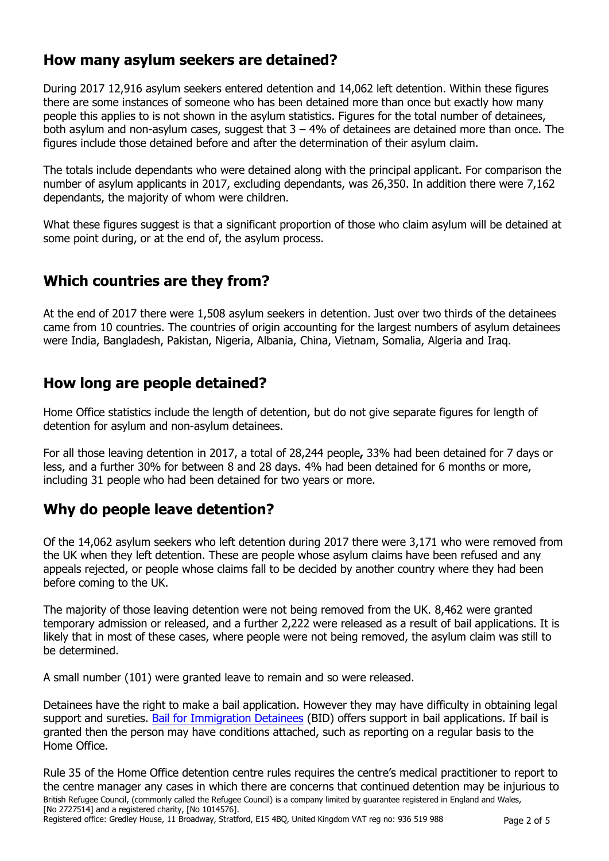# **How many asylum seekers are detained?**

During 2017 12,916 asylum seekers entered detention and 14,062 left detention. Within these figures there are some instances of someone who has been detained more than once but exactly how many people this applies to is not shown in the asylum statistics. Figures for the total number of detainees, both asylum and non-asylum cases, suggest that  $3 - 4%$  of detainees are detained more than once. The figures include those detained before and after the determination of their asylum claim.

The totals include dependants who were detained along with the principal applicant. For comparison the number of asylum applicants in 2017, excluding dependants, was 26,350. In addition there were 7,162 dependants, the majority of whom were children.

What these figures suggest is that a significant proportion of those who claim asylum will be detained at some point during, or at the end of, the asylum process.

# **Which countries are they from?**

At the end of 2017 there were 1,508 asylum seekers in detention. Just over two thirds of the detainees came from 10 countries. The countries of origin accounting for the largest numbers of asylum detainees were India, Bangladesh, Pakistan, Nigeria, Albania, China, Vietnam, Somalia, Algeria and Iraq.

# **How long are people detained?**

Home Office statistics include the length of detention, but do not give separate figures for length of detention for asylum and non-asylum detainees.

For all those leaving detention in 2017, a total of 28,244 people**,** 33% had been detained for 7 days or less, and a further 30% for between 8 and 28 days. 4% had been detained for 6 months or more, including 31 people who had been detained for two years or more.

# **Why do people leave detention?**

Of the 14,062 asylum seekers who left detention during 2017 there were 3,171 who were removed from the UK when they left detention. These are people whose asylum claims have been refused and any appeals rejected, or people whose claims fall to be decided by another country where they had been before coming to the UK.

The majority of those leaving detention were not being removed from the UK. 8,462 were granted temporary admission or released, and a further 2,222 were released as a result of bail applications. It is likely that in most of these cases, where people were not being removed, the asylum claim was still to be determined.

A small number (101) were granted leave to remain and so were released.

Detainees have the right to make a bail application. However they may have difficulty in obtaining legal support and sureties. [Bail for Immigration Detainees](http://www.biduk.org/) (BID) offers support in bail applications. If bail is granted then the person may have conditions attached, such as reporting on a regular basis to the Home Office.

British Refugee Council, (commonly called the Refugee Council) is a company limited by guarantee registered in England and Wales, [No 2727514] and a registered charity, [No 1014576]. Rule 35 of the Home Office detention centre rules requires the centre's medical practitioner to report to the centre manager any cases in which there are concerns that continued detention may be injurious to

Registered office: Gredley House, 11 Broadway, Stratford, E15 4BQ, United Kingdom VAT reg no: 936 519 988 Page 2 of 5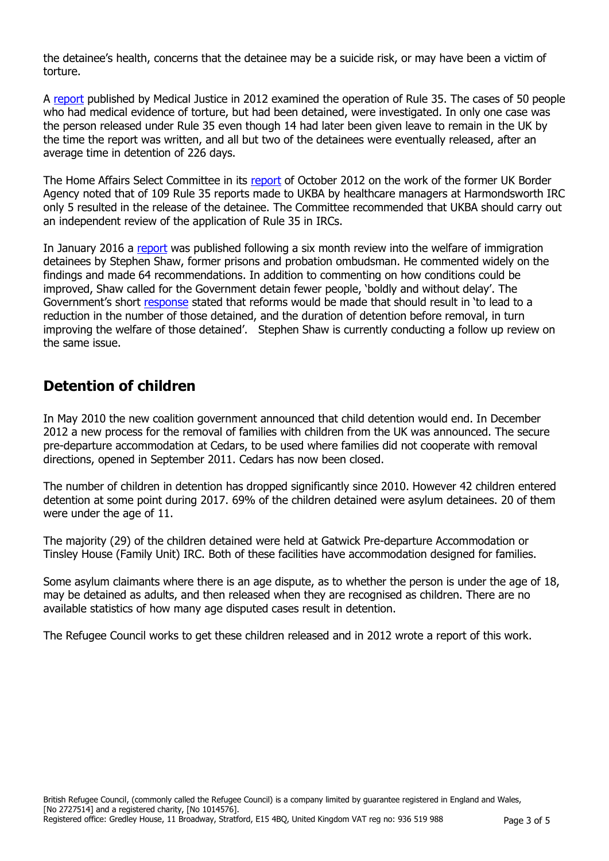the detainee's health, concerns that the detainee may be a suicide risk, or may have been a victim of torture.

A [report](http://www.medicaljustice.org.uk/mj-reports,-submissions,-etc./reports/1953-qthe-second-tortureq-the-immigration-detention-of-torture-survivors-220512.html) published by Medical Justice in 2012 examined the operation of Rule 35. The cases of 50 people who had medical evidence of torture, but had been detained, were investigated. In only one case was the person released under Rule 35 even though 14 had later been given leave to remain in the UK by the time the report was written, and all but two of the detainees were eventually released, after an average time in detention of 226 days.

The Home Affairs Select Committee in its [report](http://www.publications.parliament.uk/pa/cm201213/cmselect/cmhaff/603/60302.htm) of October 2012 on the work of the former UK Border Agency noted that of 109 Rule 35 reports made to UKBA by healthcare managers at Harmondsworth IRC only 5 resulted in the release of the detainee. The Committee recommended that UKBA should carry out an independent review of the application of Rule 35 in IRCs.

In January 2016 a [report](https://www.gov.uk/government/uploads/system/uploads/attachment_data/file/490782/52532_Shaw_Review_Accessible.pdf) was published following a six month review into the welfare of immigration detainees by Stephen Shaw, former prisons and probation ombudsman. He commented widely on the findings and made 64 recommendations. In addition to commenting on how conditions could be improved, Shaw called for the Government detain fewer people, 'boldly and without delay'. The Government's short [response](http://www.parliament.uk/business/publications/written-questions-answers-statements/written-statement/Commons/2016-01-14/HCWS470/) stated that reforms would be made that should result in 'to lead to a reduction in the number of those detained, and the duration of detention before removal, in turn improving the welfare of those detained'. Stephen Shaw is currently conducting a follow up review on the same issue.

# **Detention of children**

In May 2010 the new coalition government announced that child detention would end. In December 2012 a new process for the removal of families with children from the UK was announced. The secure pre-departure accommodation at Cedars, to be used where families did not cooperate with removal directions, opened in September 2011. Cedars has now been closed.

The number of children in detention has dropped significantly since 2010. However 42 children entered detention at some point during 2017. 69% of the children detained were asylum detainees. 20 of them were under the age of 11.

The majority (29) of the children detained were held at Gatwick Pre-departure Accommodation or Tinsley House (Family Unit) IRC. Both of these facilities have accommodation designed for families.

Some asylum claimants where there is an age dispute, as to whether the person is under the age of 18, may be detained as adults, and then released when they are recognised as children. There are no available statistics of how many age disputed cases result in detention.

The Refugee Council works to get these children released and in 2012 wrote a report of this work.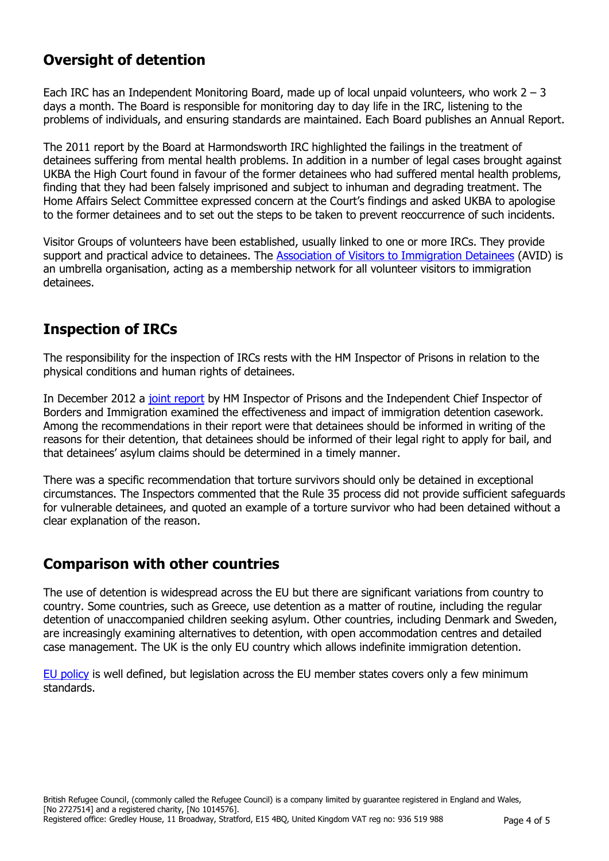# **Oversight of detention**

Each IRC has an Independent Monitoring Board, made up of local unpaid volunteers, who work  $2 - 3$ days a month. The Board is responsible for monitoring day to day life in the IRC, listening to the problems of individuals, and ensuring standards are maintained. Each Board publishes an Annual Report.

The 2011 report by the Board at Harmondsworth IRC highlighted the failings in the treatment of detainees suffering from mental health problems. In addition in a number of legal cases brought against UKBA the High Court found in favour of the former detainees who had suffered mental health problems, finding that they had been falsely imprisoned and subject to inhuman and degrading treatment. The Home Affairs Select Committee expressed concern at the Court's findings and asked UKBA to apologise to the former detainees and to set out the steps to be taken to prevent reoccurrence of such incidents.

Visitor Groups of volunteers have been established, usually linked to one or more IRCs. They provide support and practical advice to detainees. The [Association of Visitors to Immigration Detainees](http://www.aviddetention.org.uk/) (AVID) is an umbrella organisation, acting as a membership network for all volunteer visitors to immigration detainees.

# **Inspection of IRCs**

The responsibility for the inspection of IRCs rests with the HM Inspector of Prisons in relation to the physical conditions and human rights of detainees.

In December 2012 a [joint report](http://icinspector.independent.gov.uk/immigration-detention-casework-poor-casework-must-be-addressed-say-chief-inspectors/) by HM Inspector of Prisons and the Independent Chief Inspector of Borders and Immigration examined the effectiveness and impact of immigration detention casework. Among the recommendations in their report were that detainees should be informed in writing of the reasons for their detention, that detainees should be informed of their legal right to apply for bail, and that detainees' asylum claims should be determined in a timely manner.

There was a specific recommendation that torture survivors should only be detained in exceptional circumstances. The Inspectors commented that the Rule 35 process did not provide sufficient safeguards for vulnerable detainees, and quoted an example of a torture survivor who had been detained without a clear explanation of the reason.

# **Comparison with other countries**

The use of detention is widespread across the EU but there are significant variations from country to country. Some countries, such as Greece, use detention as a matter of routine, including the regular detention of unaccompanied children seeking asylum. Other countries, including Denmark and Sweden, are increasingly examining alternatives to detention, with open accommodation centres and detailed case management. The UK is the only EU country which allows indefinite immigration detention.

[EU policy](http://www.detention-in-europe.org/index.php?option=com_content&view=article&id=92&Itemid=213) is well defined, but legislation across the EU member states covers only a few minimum standards.